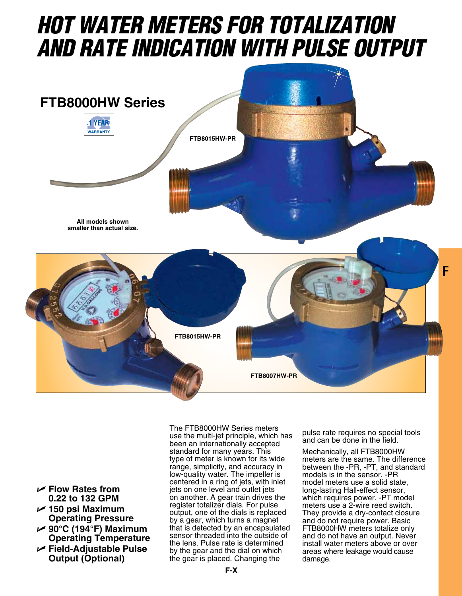## *HOT Water Meters for Totalization and Rate Indication with Pulse Output*



- U **Flow Rates from 0.22 to 132 GPM**
- U **150 psi Maximum Operating Pressure**
- U **90°C (194°F) Maximum Operating Temperature**
- U **Field-Adjustable Pulse Output (Optional)**

The FTB8000HW Series meters use the multi-jet principle, which has been an internationally accepted standard for many years. This type of meter is known for its wide range, simplicity, and accuracy in low-quality water. The impeller is centered in a ring of jets, with inlet jets on one level and outlet jets on another. A gear train drives the register totalizer dials. For pulse output, one of the dials is replaced by a gear, which turns a magnet that is detected by an encapsulated sensor threaded into the outside of the lens. Pulse rate is determined by the gear and the dial on which the gear is placed. Changing the

pulse rate requires no special tools and can be done in the field.

Mechanically, all FTB8000HW meters are the same. The difference between the -PR, -PT, and standard models is in the sensor. -PR model meters use a solid state, long-lasting Hall-effect sensor, which requires power. -PT model meters use a 2-wire reed switch. They provide a dry-contact closure and do not require power. Basic FTB8000HW meters totalize only and do not have an output. Never install water meters above or over areas where leakage would cause damage.